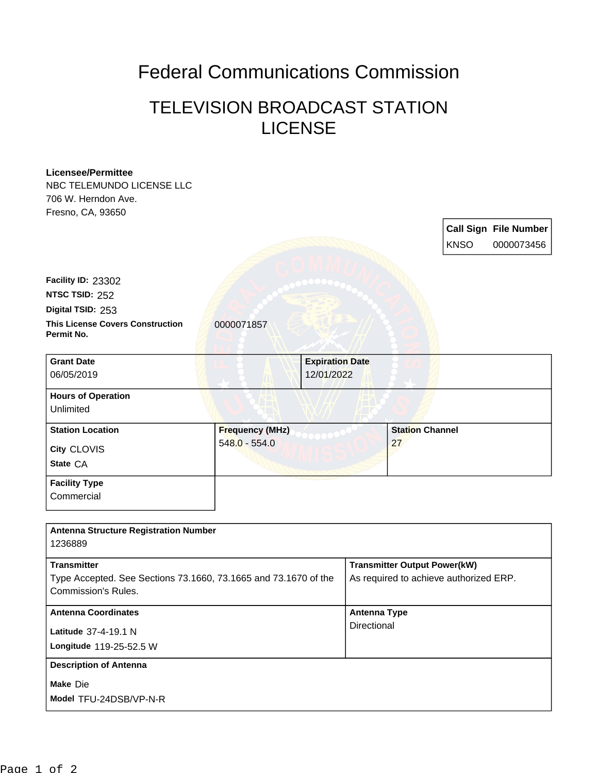## Federal Communications Commission

## TELEVISION BROADCAST STATION **LICENSE**

## **Licensee/Permittee**

NBC TELEMUNDO LICENSE LLC 706 W. Herndon Ave. Fresno, CA, 93650

> **Call Sign File Number** KNSO 0000073456

**This License Covers Construction** 0000071857 **Permit No. Digital TSID:** 253 **NTSC TSID:** 252 **Facility ID:** 23302

| <b>Grant Date</b><br>06/05/2019                    |                                           | <b>Expiration Date</b><br>12/01/2022 |
|----------------------------------------------------|-------------------------------------------|--------------------------------------|
| <b>Hours of Operation</b><br>Unlimited             |                                           |                                      |
| <b>Station Location</b><br>City CLOVIS<br>State CA | <b>Frequency (MHz)</b><br>$548.0 - 554.0$ | <b>Station Channel</b><br>27         |
| <b>Facility Type</b><br>Commercial                 |                                           |                                      |

| <b>Antenna Structure Registration Number</b><br>1236889                                                      |                                                                               |
|--------------------------------------------------------------------------------------------------------------|-------------------------------------------------------------------------------|
| <b>Transmitter</b><br>Type Accepted. See Sections 73.1660, 73.1665 and 73.1670 of the<br>Commission's Rules. | <b>Transmitter Output Power(kW)</b><br>As required to achieve authorized ERP. |
| <b>Antenna Coordinates</b><br>Latitude 37-4-19.1 N<br>Longitude 119-25-52.5 W                                | <b>Antenna Type</b><br>Directional                                            |
| <b>Description of Antenna</b><br>Make Die<br>Model TFU-24DSB/VP-N-R                                          |                                                                               |